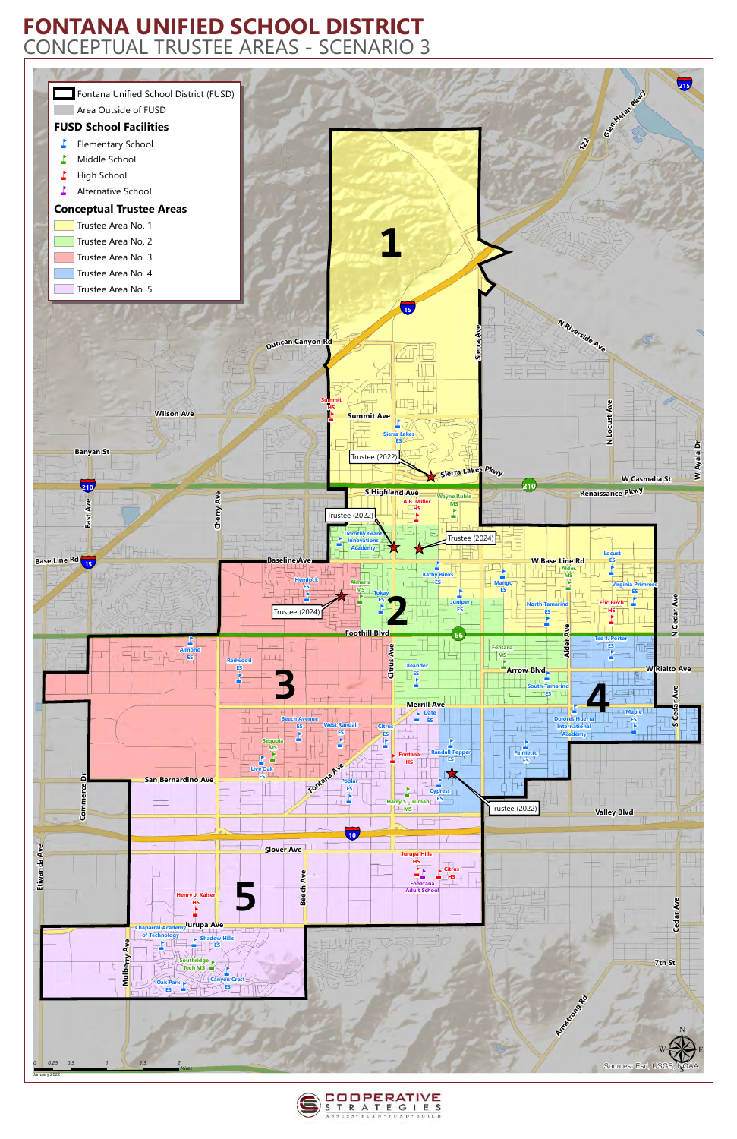



## **FONTANA UNIFIED SCHOOL DISTRICT** CONCEPTUAL TRUSTEE AREAS - SCENARIO 3